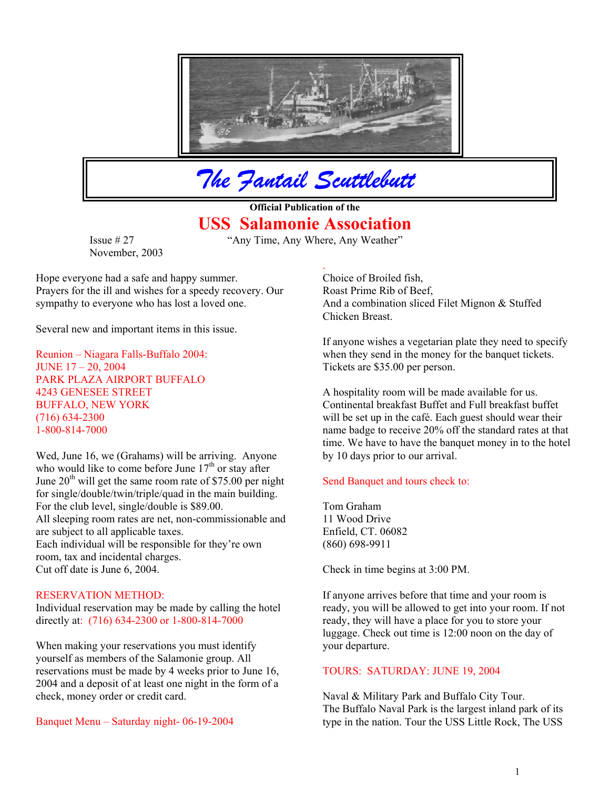

*The Fantail Scuttlebutt*

**Official Publication of the USS Salamonie Association**

.

Issue # 27 "Any Time, Any Where, Any Weather" November, 2003

Hope everyone had a safe and happy summer. Choice of Broiled fish, Prayers for the ill and wishes for a speedy recovery. Our sympathy to everyone who has lost a loved one.

Several new and important items in this issue.

Reunion – Niagara Falls-Buffalo 2004: JUNE 17 – 20, 2004 PARK PLAZA AIRPORT BUFFALO (716) 634-2300 1-800-814-7000

Wed, June 16, we (Grahams) will be arriving. Anyone who would like to come before June  $17<sup>th</sup>$  or stay after June  $20<sup>th</sup>$  will get the same room rate of \$75.00 per night for single/double/twin/triple/quad in the main building. For the club level, single/double is \$89.00. Tom Graham All sleeping room rates are net, non-commissionable and are subject to all applicable taxes. Each individual will be responsible for they're own room, tax and incidental charges. Cut off date is June 6, 2004. Check in time begins at 3:00 PM.

Individual reservation may be made by calling the hotel directly at: (716) 634-2300 or 1-800-814-7000

When making your reservations you must identify yourself as members of the Salamonie group. All reservations must be made by 4 weeks prior to June 16, 2004 and a deposit of at least one night in the form of a check, money order or credit card.

Roast Prime Rib of Beef, And a combination sliced Filet Mignon & Stuffed Chicken Breast.

If anyone wishes a vegetarian plate they need to specify when they send in the money for the banquet tickets. Tickets are \$35.00 per person.

4243 GENESEE STREET A hospitality room will be made available for us. BUFFALO, NEW YORK Continental breakfast Buffet and Full breakfast buffet will be set up in the café. Each guest should wear their name badge to receive 20% off the standard rates at that time. We have to have the banquet money in to the hotel by 10 days prior to our arrival.

# Send Banquet and tours check to:

11 Wood Drive Enfield, CT. 06082 (860) 698-9911

RESERVATION METHOD: If anyone arrives before that time and your room is ready, you will be allowed to get into your room. If not ready, they will have a place for you to store your luggage. Check out time is 12:00 noon on the day of your departure.

### TOURS: SATURDAY: JUNE 19, 2004

Naval & Military Park and Buffalo City Tour. The Buffalo Naval Park is the largest inland park of its Banquet Menu – Saturday night- 06-19-2004 type in the nation. Tour the USS Little Rock, The USS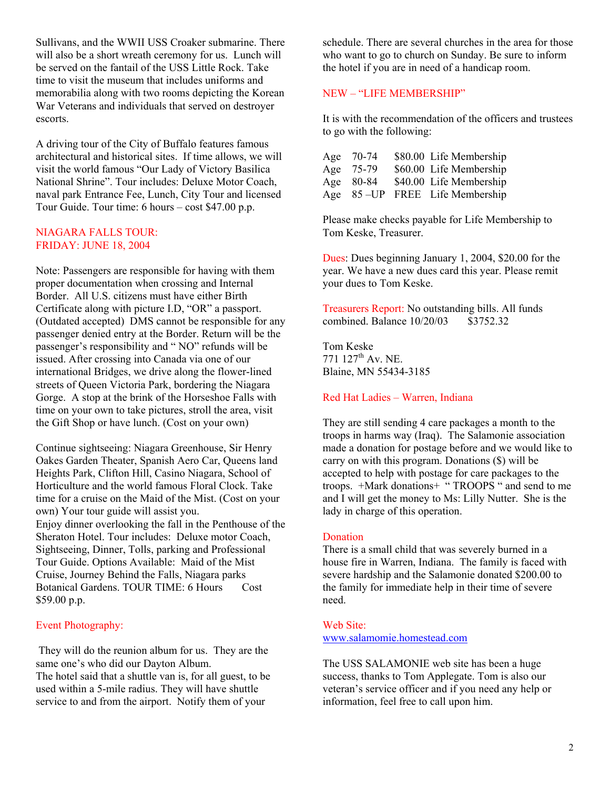Sullivans, and the WWII USS Croaker submarine. There will also be a short wreath ceremony for us. Lunch will be served on the fantail of the USS Little Rock. Take time to visit the museum that includes uniforms and memorabilia along with two rooms depicting the Korean War Veterans and individuals that served on destroyer escorts.

A driving tour of the City of Buffalo features famous architectural and historical sites. If time allows, we will visit the world famous "Our Lady of Victory Basilica National Shrine". Tour includes: Deluxe Motor Coach, naval park Entrance Fee, Lunch, City Tour and licensed Tour Guide. Tour time: 6 hours – cost \$47.00 p.p.

# NIAGARA FALLS TOUR: FRIDAY: JUNE 18, 2004

Note: Passengers are responsible for having with them proper documentation when crossing and Internal Border. All U.S. citizens must have either Birth Certificate along with picture I.D, "OR" a passport. (Outdated accepted) DMS cannot be responsible for any passenger denied entry at the Border. Return will be the passenger's responsibility and " NO" refunds will be issued. After crossing into Canada via one of our international Bridges, we drive along the flower-lined streets of Queen Victoria Park, bordering the Niagara Gorge. A stop at the brink of the Horseshoe Falls with time on your own to take pictures, stroll the area, visit the Gift Shop or have lunch. (Cost on your own)

Continue sightseeing: Niagara Greenhouse, Sir Henry Oakes Garden Theater, Spanish Aero Car, Queens land Heights Park, Clifton Hill, Casino Niagara, School of Horticulture and the world famous Floral Clock. Take time for a cruise on the Maid of the Mist. (Cost on your own) Your tour guide will assist you. Enjoy dinner overlooking the fall in the Penthouse of the Sheraton Hotel. Tour includes: Deluxe motor Coach, Sightseeing, Dinner, Tolls, parking and Professional Tour Guide. Options Available: Maid of the Mist Cruise, Journey Behind the Falls, Niagara parks Botanical Gardens. TOUR TIME: 6 Hours Cost \$59.00 p.p.

## Event Photography:

 They will do the reunion album for us. They are the same one's who did our Dayton Album. The hotel said that a shuttle van is, for all guest, to be used within a 5-mile radius. They will have shuttle service to and from the airport. Notify them of your

schedule. There are several churches in the area for those who want to go to church on Sunday. Be sure to inform the hotel if you are in need of a handicap room.

# NEW – "LIFE MEMBERSHIP"

It is with the recommendation of the officers and trustees to go with the following:

| Age | 70-74     | \$80.00 Life Membership |
|-----|-----------|-------------------------|
| Age | 75-79     | \$60.00 Life Membership |
| Age | 80-84     | \$40.00 Life Membership |
| Age | $85 - UP$ | FREE Life Membership    |

Please make checks payable for Life Membership to Tom Keske, Treasurer.

Dues: Dues beginning January 1, 2004, \$20.00 for the year. We have a new dues card this year. Please remit your dues to Tom Keske.

Treasurers Report: No outstanding bills. All funds combined. Balance 10/20/03 \$3752.32

Tom Keske 771 127<sup>th</sup> Av. NE. Blaine, MN 55434-3185

# Red Hat Ladies – Warren, Indiana

They are still sending 4 care packages a month to the troops in harms way (Iraq). The Salamonie association made a donation for postage before and we would like to carry on with this program. Donations (\$) will be accepted to help with postage for care packages to the troops. +Mark donations+ " TROOPS " and send to me and I will get the money to Ms: Lilly Nutter. She is the lady in charge of this operation.

## Donation

There is a small child that was severely burned in a house fire in Warren, Indiana. The family is faced with severe hardship and the Salamonie donated \$200.00 to the family for immediate help in their time of severe need.

### Web Site:

### [www.salamomie.homestead.com](http://www.salamomie.homestead.com/)

The USS SALAMONIE web site has been a huge success, thanks to Tom Applegate. Tom is also our veteran's service officer and if you need any help or information, feel free to call upon him.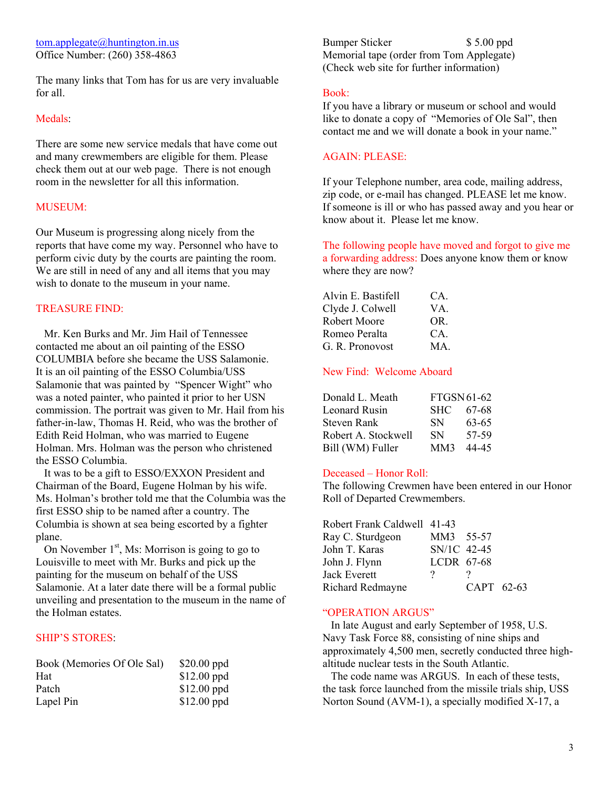The many links that Tom has for us are very invaluable for all. Book:

### Medals:

There are some new service medals that have come out and many crewmembers are eligible for them. Please check them out at our web page. There is not enough room in the newsletter for all this information.

Our Museum is progressing along nicely from the reports that have come my way. Personnel who have to perform civic duty by the courts are painting the room. We are still in need of any and all items that you may where they are now? wish to donate to the museum in your name.

### **TREASURE FIND:**

 Mr. Ken Burks and Mr. Jim Hail of Tennessee contacted me about an oil painting of the ESSO COLUMBIA before she became the USS Salamonie. It is an oil painting of the ESSO Columbia/USS Salamonie that was painted by "Spencer Wight" who was a noted painter, who painted it prior to her USN commission. The portrait was given to Mr. Hail from his father-in-law, Thomas H. Reid, who was the brother of Edith Reid Holman, who was married to Eugene Holman. Mrs. Holman was the person who christened the ESSO Columbia.

 It was to be a gift to ESSO/EXXON President and Chairman of the Board, Eugene Holman by his wife. Ms. Holman's brother told me that the Columbia was the first ESSO ship to be named after a country. The Columbia is shown at sea being escorted by a fighter plane.

On November  $1<sup>st</sup>$ , Ms: Morrison is going to go to Louisville to meet with Mr. Burks and pick up the painting for the museum on behalf of the USS Salamonie. At a later date there will be a formal public unveiling and presentation to the museum in the name of the Holman estates.

### SHIP'S STORES:

| Book (Memories Of Ole Sal) | $$20.00$ ppd |
|----------------------------|--------------|
| <b>Hat</b>                 | $$12.00$ ppd |
| Patch                      | $$12.00$ ppd |
| Lapel Pin                  | $$12.00$ ppd |

[tom.applegate@huntington.in.us](mailto:tom.applegate@huntington.in.us) Bumper Sticker \$ 5.00 ppd Office Number: (260) 358-4863 Memorial tape (order from Tom Applegate) (Check web site for further information)

If you have a library or museum or school and would like to donate a copy of "Memories of Ole Sal", then contact me and we will donate a book in your name."

## AGAIN: PLEASE:

If your Telephone number, area code, mailing address, zip code, or e-mail has changed. PLEASE let me know. MUSEUM: If someone is ill or who has passed away and you hear or know about it. Please let me know.

> The following people have moved and forgot to give me a forwarding address: Does anyone know them or know

| Alvin E. Bastifell | CA. |
|--------------------|-----|
| Clyde J. Colwell   | VA. |
| Robert Moore       | OR. |
| Romeo Peralta      | CA. |
| G. R. Pronovost    | MA  |
|                    |     |

## New Find: Welcome Aboard

| Donald L. Meath     | FTGSN61-62 |       |
|---------------------|------------|-------|
| Leonard Rusin       | <b>SHC</b> | 67-68 |
| Steven Rank         | <b>SN</b>  | 63-65 |
| Robert A. Stockwell | <b>SN</b>  | 57-59 |
| Bill (WM) Fuller    | MM3        | 44-45 |

### Deceased – Honor Roll:

The following Crewmen have been entered in our Honor Roll of Departed Crewmembers.

| Robert Frank Caldwell 41-43 |             |            |  |
|-----------------------------|-------------|------------|--|
| Ray C. Sturdgeon            | MM3 55-57   |            |  |
| John T. Karas               | SN/1C 42-45 |            |  |
| John J. Flynn               | LCDR 67-68  |            |  |
| Jack Everett                | $\cdot$     |            |  |
| Richard Redmayne            |             | CAPT 62-63 |  |

### "OPERATION ARGUS"

 In late August and early September of 1958, U.S. Navy Task Force 88, consisting of nine ships and approximately 4,500 men, secretly conducted three highaltitude nuclear tests in the South Atlantic.

The code name was ARGUS. In each of these tests, the task force launched from the missile trials ship, USS Norton Sound (AVM-1), a specially modified X-17, a